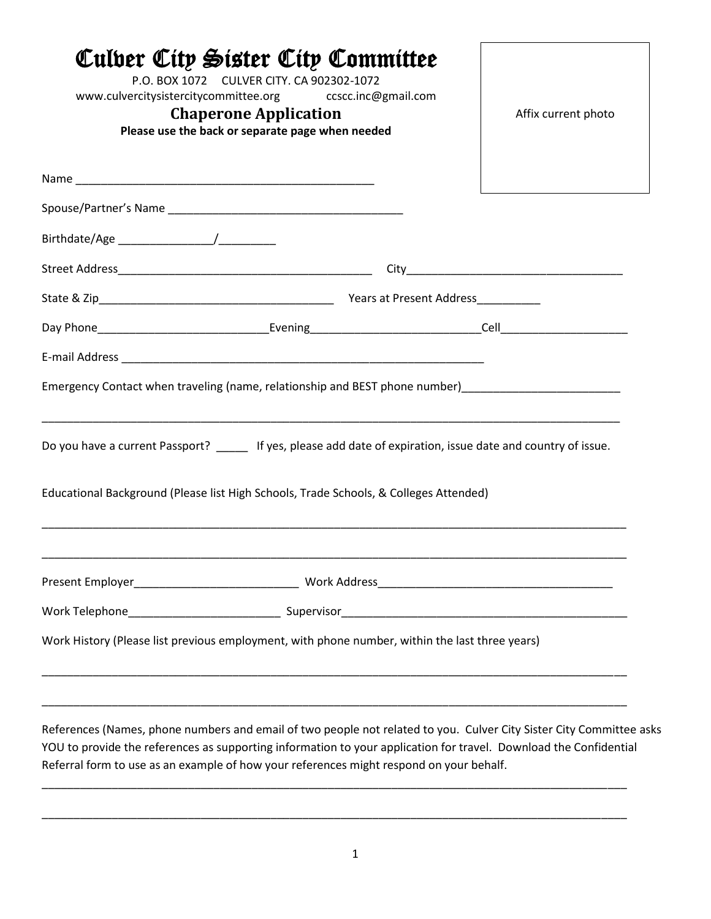| Culber City Sister City Committee<br>P.O. BOX 1072 CULVER CITY. CA 902302-1072<br>www.culvercitysistercitycommittee.org ccscc.inc@gmail.com<br><b>Chaperone Application</b><br>Please use the back or separate page when needed             | Affix current photo |
|---------------------------------------------------------------------------------------------------------------------------------------------------------------------------------------------------------------------------------------------|---------------------|
|                                                                                                                                                                                                                                             |                     |
|                                                                                                                                                                                                                                             |                     |
|                                                                                                                                                                                                                                             |                     |
|                                                                                                                                                                                                                                             |                     |
|                                                                                                                                                                                                                                             |                     |
|                                                                                                                                                                                                                                             |                     |
| Do you have a current Passport? _____ If yes, please add date of expiration, issue date and country of issue.                                                                                                                               |                     |
| Educational Background (Please list High Schools, Trade Schools, & Colleges Attended)                                                                                                                                                       |                     |
|                                                                                                                                                                                                                                             |                     |
|                                                                                                                                                                                                                                             |                     |
| Work History (Please list previous employment, with phone number, within the last three years)                                                                                                                                              |                     |
| <u> 1989 - Jan James James James James James James James James James James James James James James James James J</u><br>References (Names, phone numbers and email of two people not related to you. Culver City Sister City Committee asks |                     |

YOU to provide the references as supporting information to your application for travel. Download the Confidential Referral form to use as an example of how your references might respond on your behalf.

\_\_\_\_\_\_\_\_\_\_\_\_\_\_\_\_\_\_\_\_\_\_\_\_\_\_\_\_\_\_\_\_\_\_\_\_\_\_\_\_\_\_\_\_\_\_\_\_\_\_\_\_\_\_\_\_\_\_\_\_\_\_\_\_\_\_\_\_\_\_\_\_\_\_\_\_\_\_\_\_\_\_\_\_\_\_\_\_\_\_\_\_

\_\_\_\_\_\_\_\_\_\_\_\_\_\_\_\_\_\_\_\_\_\_\_\_\_\_\_\_\_\_\_\_\_\_\_\_\_\_\_\_\_\_\_\_\_\_\_\_\_\_\_\_\_\_\_\_\_\_\_\_\_\_\_\_\_\_\_\_\_\_\_\_\_\_\_\_\_\_\_\_\_\_\_\_\_\_\_\_\_\_\_\_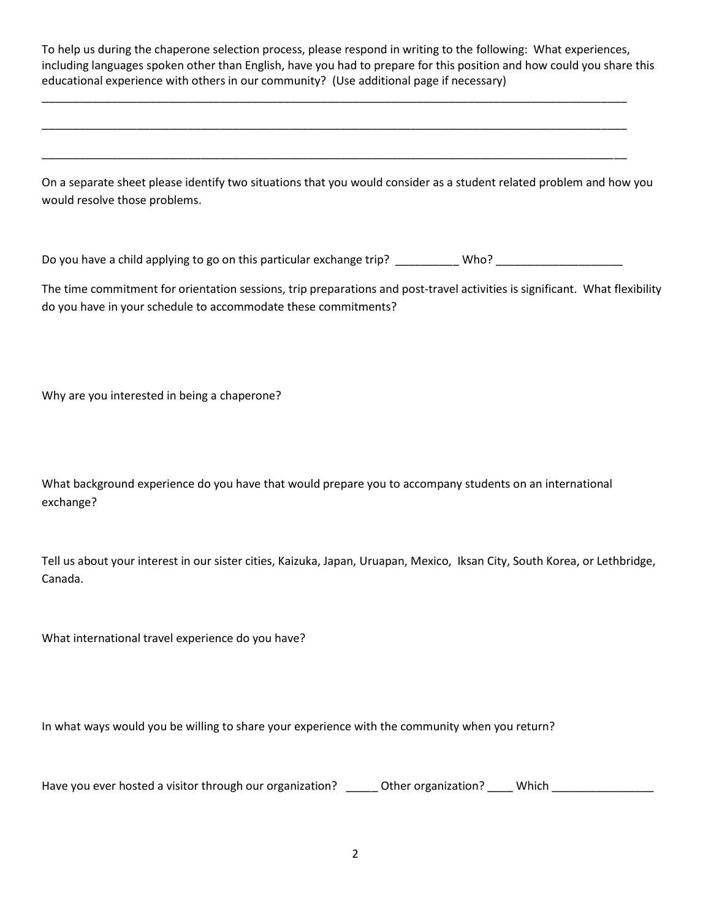To help us during the chaperone selection process, please respond in writing to the following: What experiences, including languages spoken other than English, have you had to prepare for this position and how could you share this educational experience with others in our community? (Use additional page if necessary)

\_\_\_\_\_\_\_\_\_\_\_\_\_\_\_\_\_\_\_\_\_\_\_\_\_\_\_\_\_\_\_\_\_\_\_\_\_\_\_\_\_\_\_\_\_\_\_\_\_\_\_\_\_\_\_\_\_\_\_\_\_\_\_\_\_\_\_\_\_\_\_\_\_\_\_\_\_\_\_\_\_\_\_\_\_\_\_\_\_\_\_\_

\_\_\_\_\_\_\_\_\_\_\_\_\_\_\_\_\_\_\_\_\_\_\_\_\_\_\_\_\_\_\_\_\_\_\_\_\_\_\_\_\_\_\_\_\_\_\_\_\_\_\_\_\_\_\_\_\_\_\_\_\_\_\_\_\_\_\_\_\_\_\_\_\_\_\_\_\_\_\_\_\_\_\_\_\_\_\_\_\_\_\_\_

\_\_\_\_\_\_\_\_\_\_\_\_\_\_\_\_\_\_\_\_\_\_\_\_\_\_\_\_\_\_\_\_\_\_\_\_\_\_\_\_\_\_\_\_\_\_\_\_\_\_\_\_\_\_\_\_\_\_\_\_\_\_\_\_\_\_\_\_\_\_\_\_\_\_\_\_\_\_\_\_\_\_\_\_\_\_\_\_\_\_\_\_

On a separate sheet please identify two situations that you would consider as a student related problem and how you would resolve those problems.

Do you have a child applying to go on this particular exchange trip? \_\_\_\_\_\_\_\_\_\_ Who? \_\_\_\_\_\_\_\_\_\_\_\_\_\_\_\_\_\_\_\_\_\_\_\_\_

The time commitment for orientation sessions, trip preparations and post-travel activities is significant. What flexibility do you have in your schedule to accommodate these commitments?

Why are you interested in being a chaperone?

What background experience do you have that would prepare you to accompany students on an international exchange?

Tell us about your interest in our sister cities, Kaizuka, Japan, Uruapan, Mexico, Iksan City, South Korea, or Lethbridge, Canada.

What international travel experience do you have?

In what ways would you be willing to share your experience with the community when you return?

Have you ever hosted a visitor through our organization? <br>
Other organization? Which